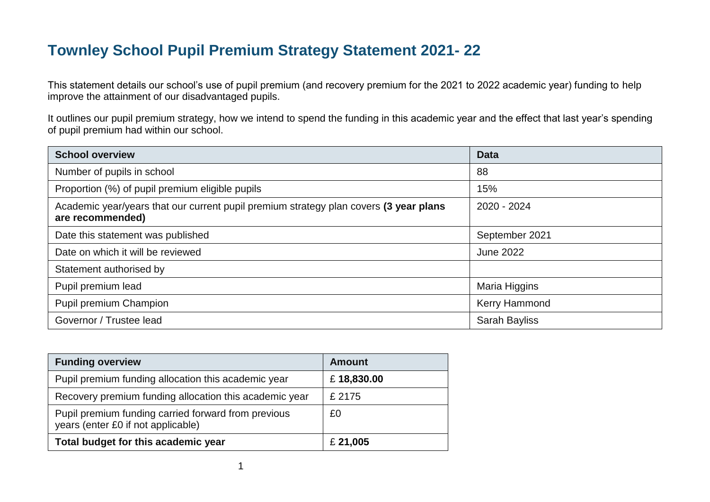# **Townley School Pupil Premium Strategy Statement 2021- 22**

This statement details our school's use of pupil premium (and recovery premium for the 2021 to 2022 academic year) funding to help improve the attainment of our disadvantaged pupils.

It outlines our pupil premium strategy, how we intend to spend the funding in this academic year and the effect that last year's spending of pupil premium had within our school.

| <b>School overview</b>                                                                                    | <b>Data</b>          |
|-----------------------------------------------------------------------------------------------------------|----------------------|
| Number of pupils in school                                                                                | 88                   |
| Proportion (%) of pupil premium eligible pupils                                                           | 15%                  |
| Academic year/years that our current pupil premium strategy plan covers (3 year plans<br>are recommended) | 2020 - 2024          |
| Date this statement was published                                                                         | September 2021       |
| Date on which it will be reviewed                                                                         | June 2022            |
| Statement authorised by                                                                                   |                      |
| Pupil premium lead                                                                                        | Maria Higgins        |
| Pupil premium Champion                                                                                    | <b>Kerry Hammond</b> |
| Governor / Trustee lead                                                                                   | <b>Sarah Bayliss</b> |

| <b>Funding overview</b>                                                                   | <b>Amount</b> |
|-------------------------------------------------------------------------------------------|---------------|
| Pupil premium funding allocation this academic year                                       | £18,830.00    |
| Recovery premium funding allocation this academic year                                    | £ 2175        |
| Pupil premium funding carried forward from previous<br>years (enter £0 if not applicable) | £0            |
| Total budget for this academic year                                                       | £ 21,005      |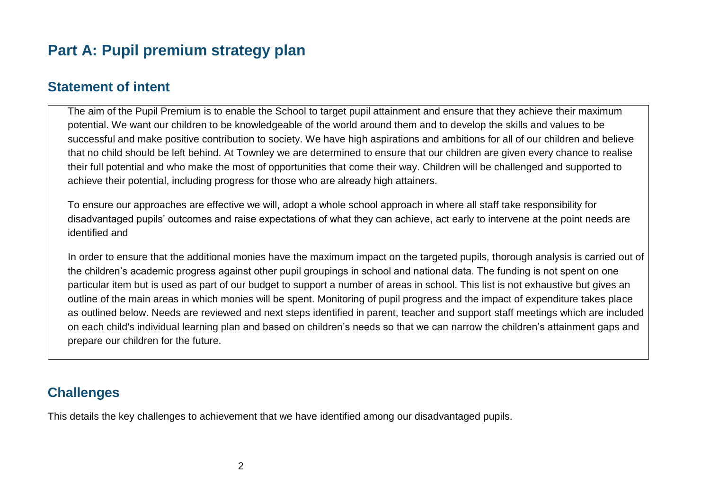## **Part A: Pupil premium strategy plan**

### **Statement of intent**

The aim of the Pupil Premium is to enable the School to target pupil attainment and ensure that they achieve their maximum potential. We want our children to be knowledgeable of the world around them and to develop the skills and values to be successful and make positive contribution to society. We have high aspirations and ambitions for all of our children and believe that no child should be left behind. At Townley we are determined to ensure that our children are given every chance to realise their full potential and who make the most of opportunities that come their way. Children will be challenged and supported to achieve their potential, including progress for those who are already high attainers.

To ensure our approaches are effective we will, adopt a whole school approach in where all staff take responsibility for disadvantaged pupils' outcomes and raise expectations of what they can achieve, act early to intervene at the point needs are identified and

In order to ensure that the additional monies have the maximum impact on the targeted pupils, thorough analysis is carried out of the children's academic progress against other pupil groupings in school and national data. The funding is not spent on one particular item but is used as part of our budget to support a number of areas in school. This list is not exhaustive but gives an outline of the main areas in which monies will be spent. Monitoring of pupil progress and the impact of expenditure takes place as outlined below. Needs are reviewed and next steps identified in parent, teacher and support staff meetings which are included on each child's individual learning plan and based on children's needs so that we can narrow the children's attainment gaps and prepare our children for the future.

### **Challenges**

This details the key challenges to achievement that we have identified among our disadvantaged pupils.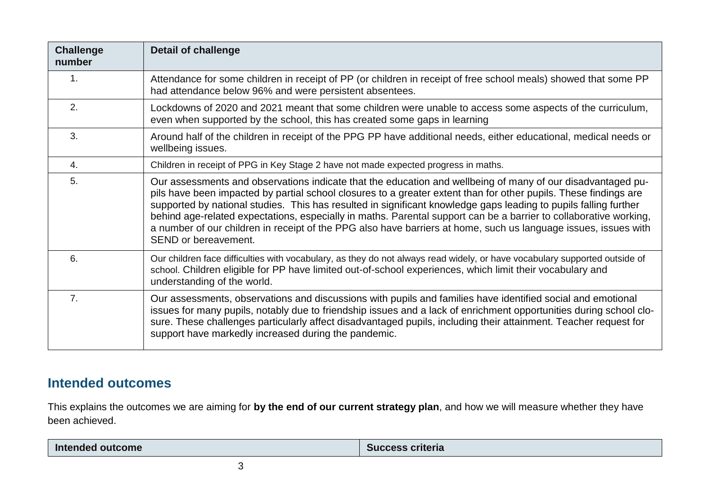| <b>Challenge</b><br>number | <b>Detail of challenge</b>                                                                                                                                                                                                                                                                                                                                                                                                                                                                                                                                                                                          |
|----------------------------|---------------------------------------------------------------------------------------------------------------------------------------------------------------------------------------------------------------------------------------------------------------------------------------------------------------------------------------------------------------------------------------------------------------------------------------------------------------------------------------------------------------------------------------------------------------------------------------------------------------------|
| 1 <sub>1</sub>             | Attendance for some children in receipt of PP (or children in receipt of free school meals) showed that some PP<br>had attendance below 96% and were persistent absentees.                                                                                                                                                                                                                                                                                                                                                                                                                                          |
| 2.                         | Lockdowns of 2020 and 2021 meant that some children were unable to access some aspects of the curriculum,<br>even when supported by the school, this has created some gaps in learning                                                                                                                                                                                                                                                                                                                                                                                                                              |
| 3.                         | Around half of the children in receipt of the PPG PP have additional needs, either educational, medical needs or<br>wellbeing issues.                                                                                                                                                                                                                                                                                                                                                                                                                                                                               |
| 4.                         | Children in receipt of PPG in Key Stage 2 have not made expected progress in maths.                                                                                                                                                                                                                                                                                                                                                                                                                                                                                                                                 |
| 5.                         | Our assessments and observations indicate that the education and wellbeing of many of our disadvantaged pu-<br>pils have been impacted by partial school closures to a greater extent than for other pupils. These findings are<br>supported by national studies. This has resulted in significant knowledge gaps leading to pupils falling further<br>behind age-related expectations, especially in maths. Parental support can be a barrier to collaborative working,<br>a number of our children in receipt of the PPG also have barriers at home, such us language issues, issues with<br>SEND or bereavement. |
| 6.                         | Our children face difficulties with vocabulary, as they do not always read widely, or have vocabulary supported outside of<br>school. Children eligible for PP have limited out-of-school experiences, which limit their vocabulary and<br>understanding of the world.                                                                                                                                                                                                                                                                                                                                              |
| 7 <sub>1</sub>             | Our assessments, observations and discussions with pupils and families have identified social and emotional<br>issues for many pupils, notably due to friendship issues and a lack of enrichment opportunities during school clo-<br>sure. These challenges particularly affect disadvantaged pupils, including their attainment. Teacher request for<br>support have markedly increased during the pandemic.                                                                                                                                                                                                       |

## **Intended outcomes**

This explains the outcomes we are aiming for **by the end of our current strategy plan**, and how we will measure whether they have been achieved.

| outcome<br>Inte<br>1010 E O I | ≅criteria<br><b>SUCCess</b> |
|-------------------------------|-----------------------------|
|-------------------------------|-----------------------------|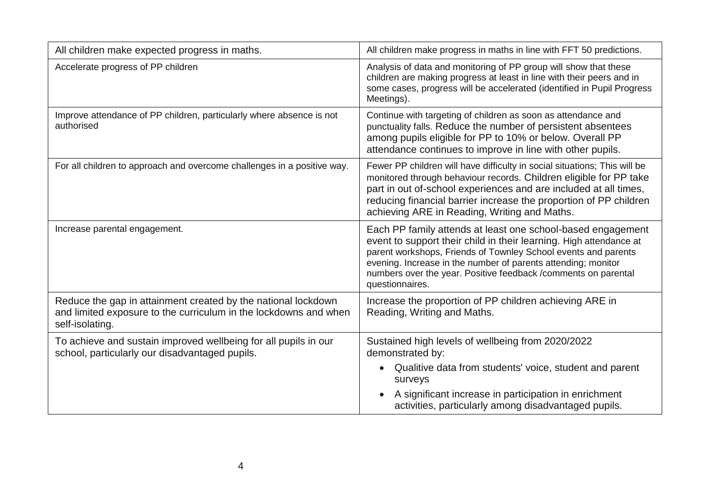| All children make expected progress in maths.                                                                                                        | All children make progress in maths in line with FFT 50 predictions.                                                                                                                                                                                                                                                                                      |
|------------------------------------------------------------------------------------------------------------------------------------------------------|-----------------------------------------------------------------------------------------------------------------------------------------------------------------------------------------------------------------------------------------------------------------------------------------------------------------------------------------------------------|
| Accelerate progress of PP children                                                                                                                   | Analysis of data and monitoring of PP group will show that these<br>children are making progress at least in line with their peers and in<br>some cases, progress will be accelerated (identified in Pupil Progress<br>Meetings).                                                                                                                         |
| Improve attendance of PP children, particularly where absence is not<br>authorised                                                                   | Continue with targeting of children as soon as attendance and<br>punctuality falls. Reduce the number of persistent absentees<br>among pupils eligible for PP to 10% or below. Overall PP<br>attendance continues to improve in line with other pupils.                                                                                                   |
| For all children to approach and overcome challenges in a positive way.                                                                              | Fewer PP children will have difficulty in social situations; This will be<br>monitored through behaviour records. Children eligible for PP take<br>part in out of-school experiences and are included at all times,<br>reducing financial barrier increase the proportion of PP children<br>achieving ARE in Reading, Writing and Maths.                  |
| Increase parental engagement.                                                                                                                        | Each PP family attends at least one school-based engagement<br>event to support their child in their learning. High attendance at<br>parent workshops, Friends of Townley School events and parents<br>evening. Increase in the number of parents attending; monitor<br>numbers over the year. Positive feedback /comments on parental<br>questionnaires. |
| Reduce the gap in attainment created by the national lockdown<br>and limited exposure to the curriculum in the lockdowns and when<br>self-isolating. | Increase the proportion of PP children achieving ARE in<br>Reading, Writing and Maths.                                                                                                                                                                                                                                                                    |
| To achieve and sustain improved wellbeing for all pupils in our<br>school, particularly our disadvantaged pupils.                                    | Sustained high levels of wellbeing from 2020/2022<br>demonstrated by:<br>Qualitive data from students' voice, student and parent<br>$\bullet$<br>surveys<br>A significant increase in participation in enrichment                                                                                                                                         |
|                                                                                                                                                      | activities, particularly among disadvantaged pupils.                                                                                                                                                                                                                                                                                                      |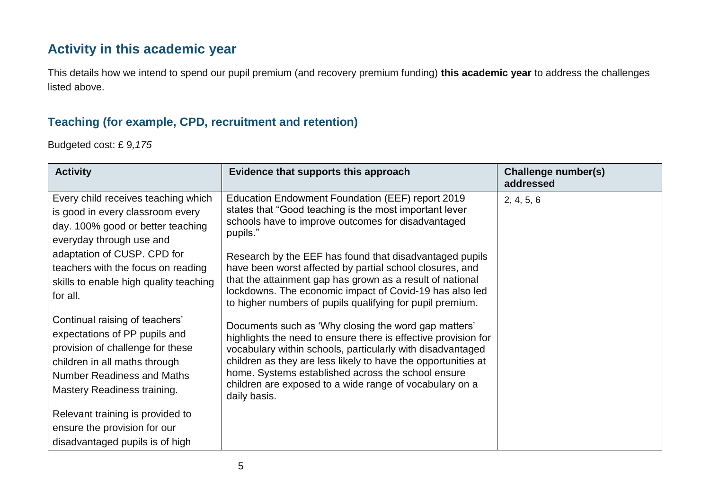## **Activity in this academic year**

This details how we intend to spend our pupil premium (and recovery premium funding) **this academic year** to address the challenges listed above.

#### **Teaching (for example, CPD, recruitment and retention)**

Budgeted cost: £ 9*,175*

| <b>Activity</b>                                                                                                                                                                                          | Evidence that supports this approach                                                                                                                                                                                                                                                                                                                                                   | Challenge number(s)<br>addressed |
|----------------------------------------------------------------------------------------------------------------------------------------------------------------------------------------------------------|----------------------------------------------------------------------------------------------------------------------------------------------------------------------------------------------------------------------------------------------------------------------------------------------------------------------------------------------------------------------------------------|----------------------------------|
| Every child receives teaching which<br>is good in every classroom every<br>day. 100% good or better teaching<br>everyday through use and<br>adaptation of CUSP. CPD for                                  | Education Endowment Foundation (EEF) report 2019<br>states that "Good teaching is the most important lever<br>schools have to improve outcomes for disadvantaged<br>pupils."                                                                                                                                                                                                           | 2, 4, 5, 6                       |
| teachers with the focus on reading<br>skills to enable high quality teaching<br>for all.                                                                                                                 | Research by the EEF has found that disadvantaged pupils<br>have been worst affected by partial school closures, and<br>that the attainment gap has grown as a result of national<br>lockdowns. The economic impact of Covid-19 has also led<br>to higher numbers of pupils qualifying for pupil premium.                                                                               |                                  |
| Continual raising of teachers'<br>expectations of PP pupils and<br>provision of challenge for these<br>children in all maths through<br><b>Number Readiness and Maths</b><br>Mastery Readiness training. | Documents such as 'Why closing the word gap matters'<br>highlights the need to ensure there is effective provision for<br>vocabulary within schools, particularly with disadvantaged<br>children as they are less likely to have the opportunities at<br>home. Systems established across the school ensure<br>children are exposed to a wide range of vocabulary on a<br>daily basis. |                                  |
| Relevant training is provided to<br>ensure the provision for our<br>disadvantaged pupils is of high                                                                                                      |                                                                                                                                                                                                                                                                                                                                                                                        |                                  |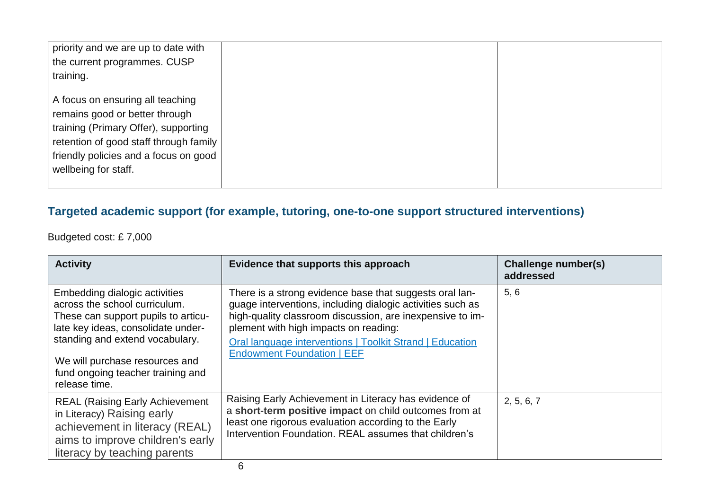| priority and we are up to date with<br>the current programmes. CUSP<br>training.                                                                                                                                      |  |
|-----------------------------------------------------------------------------------------------------------------------------------------------------------------------------------------------------------------------|--|
| A focus on ensuring all teaching<br>remains good or better through<br>training (Primary Offer), supporting<br>retention of good staff through family<br>friendly policies and a focus on good<br>wellbeing for staff. |  |

## **Targeted academic support (for example, tutoring, one-to-one support structured interventions)**

Budgeted cost: £ 7,000

| <b>Activity</b>                                                                                                                                                                                                                                                        | Evidence that supports this approach                                                                                                                                                                                                                                                                                         | Challenge number(s)<br>addressed |
|------------------------------------------------------------------------------------------------------------------------------------------------------------------------------------------------------------------------------------------------------------------------|------------------------------------------------------------------------------------------------------------------------------------------------------------------------------------------------------------------------------------------------------------------------------------------------------------------------------|----------------------------------|
| Embedding dialogic activities<br>across the school curriculum.<br>These can support pupils to articu-<br>late key ideas, consolidate under-<br>standing and extend vocabulary.<br>We will purchase resources and<br>fund ongoing teacher training and<br>release time. | There is a strong evidence base that suggests oral lan-<br>guage interventions, including dialogic activities such as<br>high-quality classroom discussion, are inexpensive to im-<br>plement with high impacts on reading:<br>Oral language interventions   Toolkit Strand   Education<br><b>Endowment Foundation   EEF</b> | 5, 6                             |
| <b>REAL (Raising Early Achievement)</b><br>in Literacy) Raising early<br>achievement in literacy (REAL)<br>aims to improve children's early<br>literacy by teaching parents                                                                                            | Raising Early Achievement in Literacy has evidence of<br>a short-term positive impact on child outcomes from at<br>least one rigorous evaluation according to the Early<br>Intervention Foundation, REAL assumes that children's                                                                                             | 2, 5, 6, 7                       |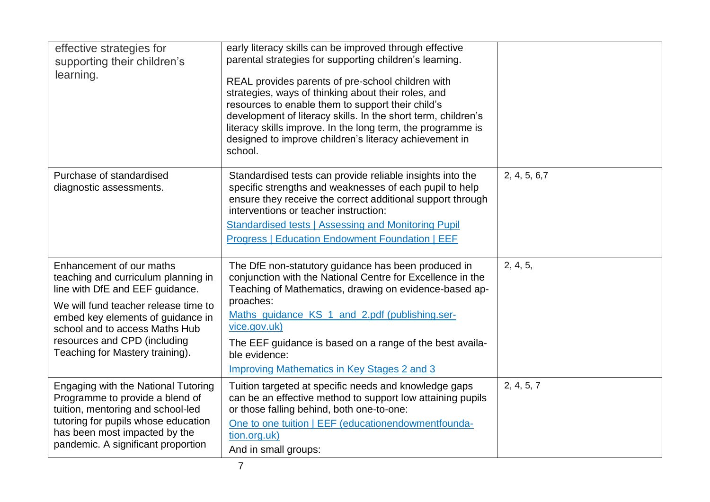| effective strategies for<br>supporting their children's<br>learning.                                                                                                                                                                                                                 | early literacy skills can be improved through effective<br>parental strategies for supporting children's learning.<br>REAL provides parents of pre-school children with<br>strategies, ways of thinking about their roles, and<br>resources to enable them to support their child's<br>development of literacy skills. In the short term, children's<br>literacy skills improve. In the long term, the programme is<br>designed to improve children's literacy achievement in<br>school. |               |
|--------------------------------------------------------------------------------------------------------------------------------------------------------------------------------------------------------------------------------------------------------------------------------------|------------------------------------------------------------------------------------------------------------------------------------------------------------------------------------------------------------------------------------------------------------------------------------------------------------------------------------------------------------------------------------------------------------------------------------------------------------------------------------------|---------------|
| Purchase of standardised<br>diagnostic assessments.                                                                                                                                                                                                                                  | Standardised tests can provide reliable insights into the<br>specific strengths and weaknesses of each pupil to help<br>ensure they receive the correct additional support through<br>interventions or teacher instruction:<br>Standardised tests   Assessing and Monitoring Pupil<br><b>Progress   Education Endowment Foundation   EEF</b>                                                                                                                                             | 2, 4, 5, 6, 7 |
| Enhancement of our maths<br>teaching and curriculum planning in<br>line with DfE and EEF guidance.<br>We will fund teacher release time to<br>embed key elements of guidance in<br>school and to access Maths Hub<br>resources and CPD (including<br>Teaching for Mastery training). | The DfE non-statutory guidance has been produced in<br>conjunction with the National Centre for Excellence in the<br>Teaching of Mathematics, drawing on evidence-based ap-<br>proaches:<br>Maths guidance KS 1 and 2.pdf (publishing.ser-<br>vice.gov.uk)<br>The EEF guidance is based on a range of the best availa-<br>ble evidence:<br><b>Improving Mathematics in Key Stages 2 and 3</b>                                                                                            | 2, 4, 5,      |
| Engaging with the National Tutoring<br>Programme to provide a blend of<br>tuition, mentoring and school-led<br>tutoring for pupils whose education<br>has been most impacted by the<br>pandemic. A significant proportion                                                            | Tuition targeted at specific needs and knowledge gaps<br>can be an effective method to support low attaining pupils<br>or those falling behind, both one-to-one:<br>One to one tuition   EEF (educationendowmentfounda-<br>tion.org.uk)<br>And in small groups:                                                                                                                                                                                                                          | 2, 4, 5, 7    |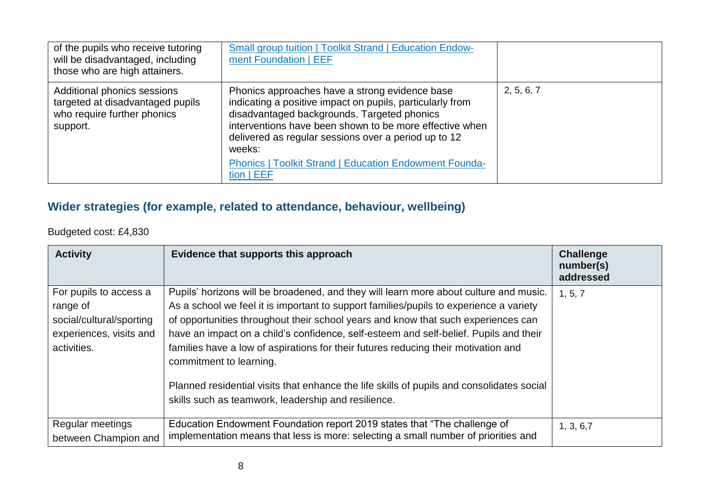| of the pupils who receive tutoring<br>will be disadvantaged, including<br>those who are high attainers.    | <b>Small group tuition   Toolkit Strand   Education Endow-</b><br>ment Foundation   EEF                                                                                                                                                                                                                                                                                  |            |
|------------------------------------------------------------------------------------------------------------|--------------------------------------------------------------------------------------------------------------------------------------------------------------------------------------------------------------------------------------------------------------------------------------------------------------------------------------------------------------------------|------------|
| Additional phonics sessions<br>targeted at disadvantaged pupils<br>who require further phonics<br>support. | Phonics approaches have a strong evidence base<br>indicating a positive impact on pupils, particularly from<br>disadvantaged backgrounds. Targeted phonics<br>interventions have been shown to be more effective when<br>delivered as regular sessions over a period up to 12<br>weeks:<br><b>Phonics   Toolkit Strand   Education Endowment Founda-</b><br>$tion$   EEF | 2, 5, 6, 7 |

## **Wider strategies (for example, related to attendance, behaviour, wellbeing)**

Budgeted cost: £4,830

| <b>Activity</b>                                                                                          | Evidence that supports this approach                                                                                                                                                                                                                                                                                                                                                                                                                                                                                                                                                                                               | <b>Challenge</b><br>number(s)<br>addressed |
|----------------------------------------------------------------------------------------------------------|------------------------------------------------------------------------------------------------------------------------------------------------------------------------------------------------------------------------------------------------------------------------------------------------------------------------------------------------------------------------------------------------------------------------------------------------------------------------------------------------------------------------------------------------------------------------------------------------------------------------------------|--------------------------------------------|
| For pupils to access a<br>range of<br>social/cultural/sporting<br>experiences, visits and<br>activities. | Pupils' horizons will be broadened, and they will learn more about culture and music.<br>As a school we feel it is important to support families/pupils to experience a variety<br>of opportunities throughout their school years and know that such experiences can<br>have an impact on a child's confidence, self-esteem and self-belief. Pupils and their<br>families have a low of aspirations for their futures reducing their motivation and<br>commitment to learning.<br>Planned residential visits that enhance the life skills of pupils and consolidates social<br>skills such as teamwork, leadership and resilience. | 1, 5, 7                                    |
| Regular meetings<br>between Champion and                                                                 | Education Endowment Foundation report 2019 states that "The challenge of<br>implementation means that less is more: selecting a small number of priorities and                                                                                                                                                                                                                                                                                                                                                                                                                                                                     | 1, 3, 6, 7                                 |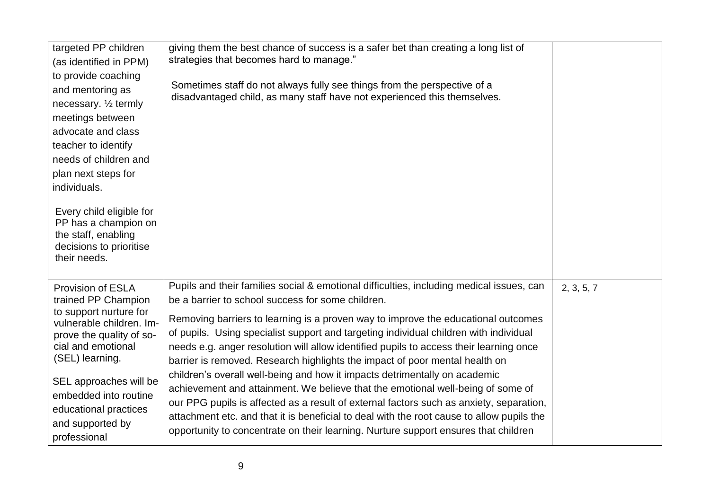| targeted PP children<br>(as identified in PPM)<br>to provide coaching<br>and mentoring as<br>necessary. 1/2 termly<br>meetings between<br>advocate and class<br>teacher to identify<br>needs of children and<br>plan next steps for<br>individuals.<br>Every child eligible for<br>PP has a champion on<br>the staff, enabling<br>decisions to prioritise<br>their needs. | giving them the best chance of success is a safer bet than creating a long list of<br>strategies that becomes hard to manage."<br>Sometimes staff do not always fully see things from the perspective of a<br>disadvantaged child, as many staff have not experienced this themselves.                                                                                                                                                                                                                                                                                                                                                                                                                                                                                                                                                                                                                                                               |            |
|---------------------------------------------------------------------------------------------------------------------------------------------------------------------------------------------------------------------------------------------------------------------------------------------------------------------------------------------------------------------------|------------------------------------------------------------------------------------------------------------------------------------------------------------------------------------------------------------------------------------------------------------------------------------------------------------------------------------------------------------------------------------------------------------------------------------------------------------------------------------------------------------------------------------------------------------------------------------------------------------------------------------------------------------------------------------------------------------------------------------------------------------------------------------------------------------------------------------------------------------------------------------------------------------------------------------------------------|------------|
| <b>Provision of ESLA</b><br>trained PP Champion<br>to support nurture for<br>vulnerable children. Im-<br>prove the quality of so-<br>cial and emotional<br>(SEL) learning.<br>SEL approaches will be<br>embedded into routine<br>educational practices<br>and supported by<br>professional                                                                                | Pupils and their families social & emotional difficulties, including medical issues, can<br>be a barrier to school success for some children.<br>Removing barriers to learning is a proven way to improve the educational outcomes<br>of pupils. Using specialist support and targeting individual children with individual<br>needs e.g. anger resolution will allow identified pupils to access their learning once<br>barrier is removed. Research highlights the impact of poor mental health on<br>children's overall well-being and how it impacts detrimentally on academic<br>achievement and attainment. We believe that the emotional well-being of some of<br>our PPG pupils is affected as a result of external factors such as anxiety, separation,<br>attachment etc. and that it is beneficial to deal with the root cause to allow pupils the<br>opportunity to concentrate on their learning. Nurture support ensures that children | 2, 3, 5, 7 |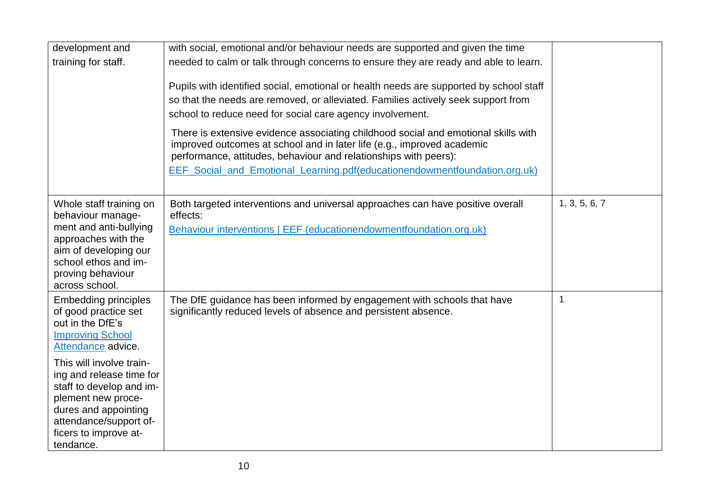| development and<br>training for staff.                                                                                                                                                                                                                                                                                     | with social, emotional and/or behaviour needs are supported and given the time<br>needed to calm or talk through concerns to ensure they are ready and able to learn.<br>Pupils with identified social, emotional or health needs are supported by school staff<br>so that the needs are removed, or alleviated. Families actively seek support from<br>school to reduce need for social care agency involvement.<br>There is extensive evidence associating childhood social and emotional skills with<br>improved outcomes at school and in later life (e.g., improved academic<br>performance, attitudes, behaviour and relationships with peers):<br>EEF_Social_and_Emotional_Learning.pdf(educationendowmentfoundation.org.uk) |                |
|----------------------------------------------------------------------------------------------------------------------------------------------------------------------------------------------------------------------------------------------------------------------------------------------------------------------------|-------------------------------------------------------------------------------------------------------------------------------------------------------------------------------------------------------------------------------------------------------------------------------------------------------------------------------------------------------------------------------------------------------------------------------------------------------------------------------------------------------------------------------------------------------------------------------------------------------------------------------------------------------------------------------------------------------------------------------------|----------------|
| Whole staff training on<br>behaviour manage-<br>ment and anti-bullying<br>approaches with the<br>aim of developing our<br>school ethos and im-<br>proving behaviour<br>across school.                                                                                                                                      | Both targeted interventions and universal approaches can have positive overall<br>effects:<br>Behaviour interventions   EEF (educationendowmentfoundation.org.uk)                                                                                                                                                                                                                                                                                                                                                                                                                                                                                                                                                                   | 1, 3, 5, 6, 7  |
| <b>Embedding principles</b><br>of good practice set<br>out in the DfE's<br><b>Improving School</b><br>Attendance advice.<br>This will involve train-<br>ing and release time for<br>staff to develop and im-<br>plement new proce-<br>dures and appointing<br>attendance/support of-<br>ficers to improve at-<br>tendance. | The DfE guidance has been informed by engagement with schools that have<br>significantly reduced levels of absence and persistent absence.                                                                                                                                                                                                                                                                                                                                                                                                                                                                                                                                                                                          | $\overline{1}$ |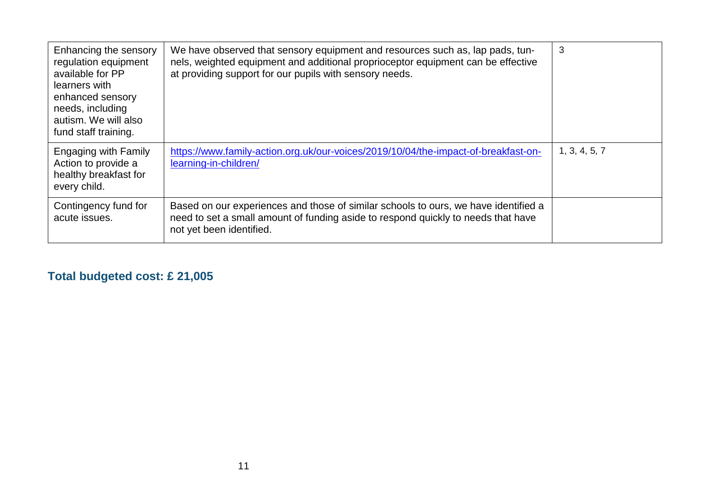| Enhancing the sensory<br>regulation equipment<br>available for PP<br>learners with<br>enhanced sensory<br>needs, including<br>autism. We will also<br>fund staff training. | We have observed that sensory equipment and resources such as, lap pads, tun-<br>nels, weighted equipment and additional proprioceptor equipment can be effective<br>at providing support for our pupils with sensory needs. | 3             |
|----------------------------------------------------------------------------------------------------------------------------------------------------------------------------|------------------------------------------------------------------------------------------------------------------------------------------------------------------------------------------------------------------------------|---------------|
| Engaging with Family<br>Action to provide a<br>healthy breakfast for<br>every child.                                                                                       | https://www.family-action.org.uk/our-voices/2019/10/04/the-impact-of-breakfast-on-<br>learning-in-children/                                                                                                                  | 1, 3, 4, 5, 7 |
| Contingency fund for<br>acute issues.                                                                                                                                      | Based on our experiences and those of similar schools to ours, we have identified a<br>need to set a small amount of funding aside to respond quickly to needs that have<br>not yet been identified.                         |               |

# **Total budgeted cost: £ 21,005**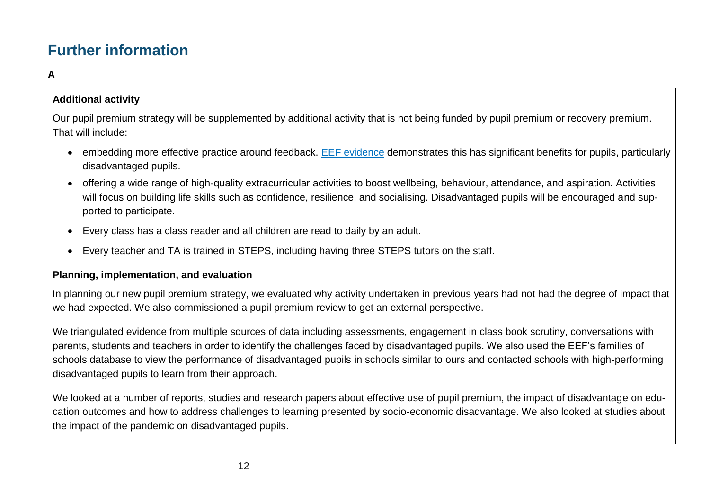# **Further information**

#### **A**

#### **Additional activity**

Our pupil premium strategy will be supplemented by additional activity that is not being funded by pupil premium or recovery premium. That will include:

- embedding more effective practice around feedback. [EEF evidence](https://educationendowmentfoundation.org.uk/education-evidence/teaching-learning-toolkit/feedback) demonstrates this has significant benefits for pupils, particularly disadvantaged pupils.
- offering a wide range of high-quality extracurricular activities to boost wellbeing, behaviour, attendance, and aspiration. Activities will focus on building life skills such as confidence, resilience, and socialising. Disadvantaged pupils will be encouraged and supported to participate.
- Every class has a class reader and all children are read to daily by an adult.
- Every teacher and TA is trained in STEPS, including having three STEPS tutors on the staff.

#### **Planning, implementation, and evaluation**

In planning our new pupil premium strategy, we evaluated why activity undertaken in previous years had not had the degree of impact that we had expected. We also commissioned a pupil premium review to get an external perspective.

We triangulated evidence from multiple sources of data including assessments, engagement in class book scrutiny, conversations with parents, students and teachers in order to identify the challenges faced by disadvantaged pupils. We also used the EEF's families of schools database to view the performance of disadvantaged pupils in schools similar to ours and contacted schools with high-performing disadvantaged pupils to learn from their approach.

We looked at a number of reports, studies and research papers about effective use of pupil premium, the impact of disadvantage on education outcomes and how to address challenges to learning presented by socio-economic disadvantage. We also looked at studies about the impact of the pandemic on disadvantaged pupils.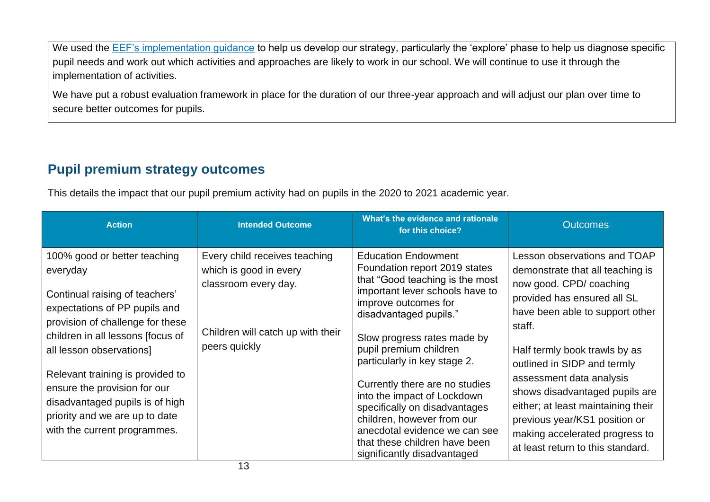We used the [EEF's implementation guidance](https://educationendowmentfoundation.org.uk/education-evidence/guidance-reports/implementation) to help us develop our strategy, particularly the 'explore' phase to help us diagnose specific pupil needs and work out which activities and approaches are likely to work in our school. We will continue to use it through the implementation of activities.

We have put a robust evaluation framework in place for the duration of our three-year approach and will adjust our plan over time to secure better outcomes for pupils.

## **Pupil premium strategy outcomes**

This details the impact that our pupil premium activity had on pupils in the 2020 to 2021 academic year.

| <b>Action</b>                                                                                                                                                                                                                                                                                                                                                                             | <b>Intended Outcome</b>                                                                                                               | What's the evidence and rationale<br>for this choice?                                                                                                                                                                                                                                                                                                                                                                                                                                                         | <b>Outcomes</b>                                                                                                                                                                                                                                                                                                                                                                                                                                     |
|-------------------------------------------------------------------------------------------------------------------------------------------------------------------------------------------------------------------------------------------------------------------------------------------------------------------------------------------------------------------------------------------|---------------------------------------------------------------------------------------------------------------------------------------|---------------------------------------------------------------------------------------------------------------------------------------------------------------------------------------------------------------------------------------------------------------------------------------------------------------------------------------------------------------------------------------------------------------------------------------------------------------------------------------------------------------|-----------------------------------------------------------------------------------------------------------------------------------------------------------------------------------------------------------------------------------------------------------------------------------------------------------------------------------------------------------------------------------------------------------------------------------------------------|
| 100% good or better teaching<br>everyday<br>Continual raising of teachers'<br>expectations of PP pupils and<br>provision of challenge for these<br>children in all lessons [focus of<br>all lesson observations]<br>Relevant training is provided to<br>ensure the provision for our<br>disadvantaged pupils is of high<br>priority and we are up to date<br>with the current programmes. | Every child receives teaching<br>which is good in every<br>classroom every day.<br>Children will catch up with their<br>peers quickly | <b>Education Endowment</b><br>Foundation report 2019 states<br>that "Good teaching is the most<br>important lever schools have to<br>improve outcomes for<br>disadvantaged pupils."<br>Slow progress rates made by<br>pupil premium children<br>particularly in key stage 2.<br>Currently there are no studies<br>into the impact of Lockdown<br>specifically on disadvantages<br>children, however from our<br>anecdotal evidence we can see<br>that these children have been<br>significantly disadvantaged | Lesson observations and TOAP<br>demonstrate that all teaching is<br>now good. CPD/ coaching<br>provided has ensured all SL<br>have been able to support other<br>staff.<br>Half termly book trawls by as<br>outlined in SIDP and termly<br>assessment data analysis<br>shows disadvantaged pupils are<br>either; at least maintaining their<br>previous year/KS1 position or<br>making accelerated progress to<br>at least return to this standard. |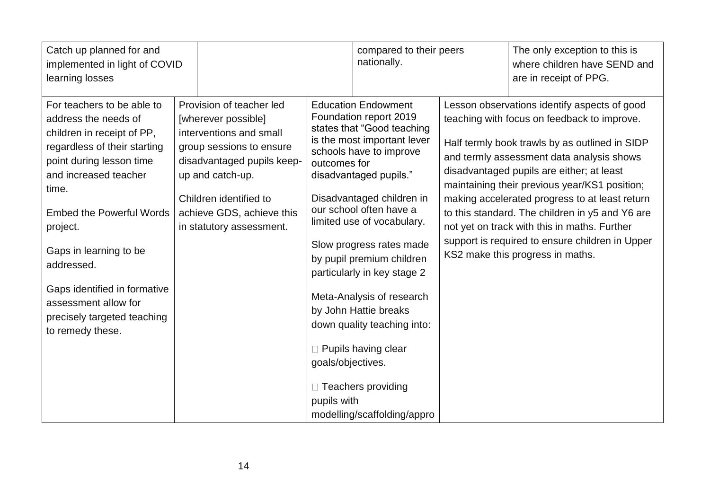| Catch up planned for and<br>implemented in light of COVID<br>learning losses                                                                                                                                                                                                                                                                                                     |                                                                                                                                                                                                                                             |                                                  | compared to their peers<br>nationally.                                                                                                                                                                                                                                                                                                                                                                                                                                                                                         | The only exception to this is<br>where children have SEND and<br>are in receipt of PPG.                                                                                                                                                                                                                                                                                                                                                                                                                                              |
|----------------------------------------------------------------------------------------------------------------------------------------------------------------------------------------------------------------------------------------------------------------------------------------------------------------------------------------------------------------------------------|---------------------------------------------------------------------------------------------------------------------------------------------------------------------------------------------------------------------------------------------|--------------------------------------------------|--------------------------------------------------------------------------------------------------------------------------------------------------------------------------------------------------------------------------------------------------------------------------------------------------------------------------------------------------------------------------------------------------------------------------------------------------------------------------------------------------------------------------------|--------------------------------------------------------------------------------------------------------------------------------------------------------------------------------------------------------------------------------------------------------------------------------------------------------------------------------------------------------------------------------------------------------------------------------------------------------------------------------------------------------------------------------------|
| For teachers to be able to<br>address the needs of<br>children in receipt of PP,<br>regardless of their starting<br>point during lesson time<br>and increased teacher<br>time.<br><b>Embed the Powerful Words</b><br>project.<br>Gaps in learning to be<br>addressed.<br>Gaps identified in formative<br>assessment allow for<br>precisely targeted teaching<br>to remedy these. | Provision of teacher led<br>[wherever possible]<br>interventions and small<br>group sessions to ensure<br>disadvantaged pupils keep-<br>up and catch-up.<br>Children identified to<br>achieve GDS, achieve this<br>in statutory assessment. | outcomes for<br>goals/objectives.<br>pupils with | <b>Education Endowment</b><br>Foundation report 2019<br>states that "Good teaching<br>is the most important lever<br>schools have to improve<br>disadvantaged pupils."<br>Disadvantaged children in<br>our school often have a<br>limited use of vocabulary.<br>Slow progress rates made<br>by pupil premium children<br>particularly in key stage 2<br>Meta-Analysis of research<br>by John Hattie breaks<br>down quality teaching into:<br>$\Box$ Pupils having clear<br>□ Teachers providing<br>modelling/scaffolding/appro | Lesson observations identify aspects of good<br>teaching with focus on feedback to improve.<br>Half termly book trawls by as outlined in SIDP<br>and termly assessment data analysis shows<br>disadvantaged pupils are either; at least<br>maintaining their previous year/KS1 position;<br>making accelerated progress to at least return<br>to this standard. The children in y5 and Y6 are<br>not yet on track with this in maths. Further<br>support is required to ensure children in Upper<br>KS2 make this progress in maths. |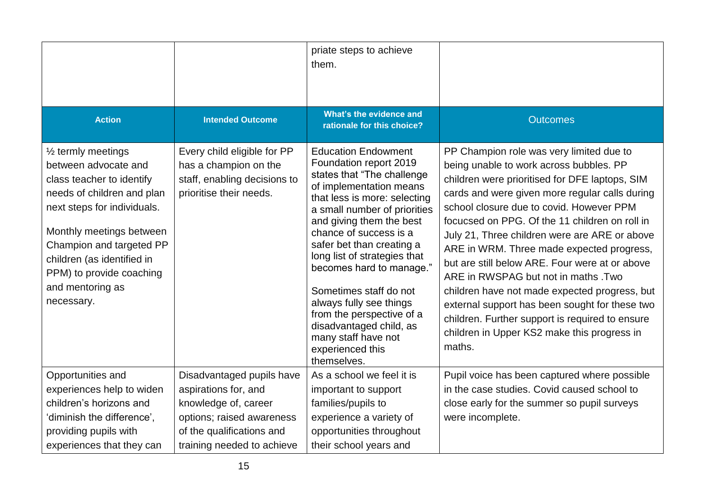|                                                                                                                                                                                                                                                                                                     |                                                                                                                                                                   | priate steps to achieve<br>them.                                                                                                                                                                                                                                                                                                                                                                                                                                                                    |                                                                                                                                                                                                                                                                                                                                                                                                                                                                                                                                                                                                                                                                                             |
|-----------------------------------------------------------------------------------------------------------------------------------------------------------------------------------------------------------------------------------------------------------------------------------------------------|-------------------------------------------------------------------------------------------------------------------------------------------------------------------|-----------------------------------------------------------------------------------------------------------------------------------------------------------------------------------------------------------------------------------------------------------------------------------------------------------------------------------------------------------------------------------------------------------------------------------------------------------------------------------------------------|---------------------------------------------------------------------------------------------------------------------------------------------------------------------------------------------------------------------------------------------------------------------------------------------------------------------------------------------------------------------------------------------------------------------------------------------------------------------------------------------------------------------------------------------------------------------------------------------------------------------------------------------------------------------------------------------|
| <b>Action</b>                                                                                                                                                                                                                                                                                       | <b>Intended Outcome</b>                                                                                                                                           | What's the evidence and<br>rationale for this choice?                                                                                                                                                                                                                                                                                                                                                                                                                                               | <b>Outcomes</b>                                                                                                                                                                                                                                                                                                                                                                                                                                                                                                                                                                                                                                                                             |
| $\frac{1}{2}$ termly meetings<br>between advocate and<br>class teacher to identify<br>needs of children and plan<br>next steps for individuals.<br>Monthly meetings between<br>Champion and targeted PP<br>children (as identified in<br>PPM) to provide coaching<br>and mentoring as<br>necessary. | Every child eligible for PP<br>has a champion on the<br>staff, enabling decisions to<br>prioritise their needs.                                                   | <b>Education Endowment</b><br>Foundation report 2019<br>states that "The challenge<br>of implementation means<br>that less is more: selecting<br>a small number of priorities<br>and giving them the best<br>chance of success is a<br>safer bet than creating a<br>long list of strategies that<br>becomes hard to manage."<br>Sometimes staff do not<br>always fully see things<br>from the perspective of a<br>disadvantaged child, as<br>many staff have not<br>experienced this<br>themselves. | PP Champion role was very limited due to<br>being unable to work across bubbles. PP<br>children were prioritised for DFE laptops, SIM<br>cards and were given more regular calls during<br>school closure due to covid. However PPM<br>focucsed on PPG. Of the 11 children on roll in<br>July 21, Three children were are ARE or above<br>ARE in WRM. Three made expected progress,<br>but are still below ARE. Four were at or above<br>ARE in RWSPAG but not in maths .Two<br>children have not made expected progress, but<br>external support has been sought for these two<br>children. Further support is required to ensure<br>children in Upper KS2 make this progress in<br>maths. |
| Opportunities and<br>experiences help to widen<br>children's horizons and<br>'diminish the difference',<br>providing pupils with<br>experiences that they can                                                                                                                                       | Disadvantaged pupils have<br>aspirations for, and<br>knowledge of, career<br>options; raised awareness<br>of the qualifications and<br>training needed to achieve | As a school we feel it is<br>important to support<br>families/pupils to<br>experience a variety of<br>opportunities throughout<br>their school years and                                                                                                                                                                                                                                                                                                                                            | Pupil voice has been captured where possible<br>in the case studies. Covid caused school to<br>close early for the summer so pupil surveys<br>were incomplete.                                                                                                                                                                                                                                                                                                                                                                                                                                                                                                                              |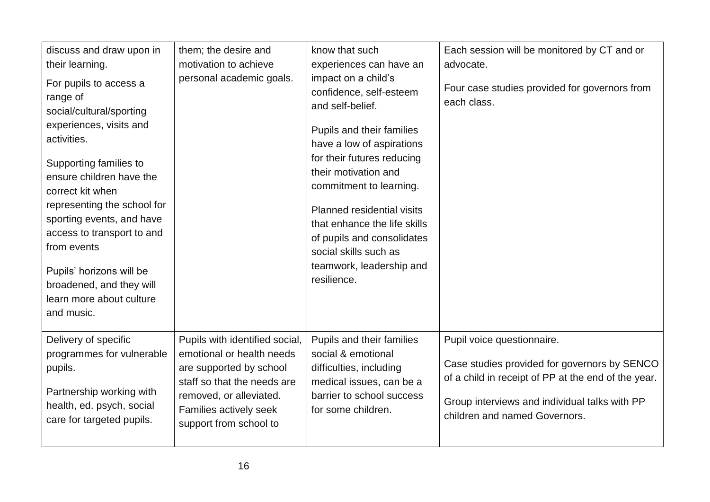| discuss and draw upon in<br>their learning.<br>For pupils to access a<br>range of<br>social/cultural/sporting<br>experiences, visits and<br>activities.<br>Supporting families to<br>ensure children have the<br>correct kit when<br>representing the school for<br>sporting events, and have<br>access to transport to and<br>from events<br>Pupils' horizons will be<br>broadened, and they will<br>learn more about culture<br>and music. | them; the desire and<br>motivation to achieve<br>personal academic goals.                                                                                                                            | know that such<br>experiences can have an<br>impact on a child's<br>confidence, self-esteem<br>and self-belief.<br>Pupils and their families<br>have a low of aspirations<br>for their futures reducing<br>their motivation and<br>commitment to learning.<br>Planned residential visits<br>that enhance the life skills<br>of pupils and consolidates<br>social skills such as<br>teamwork, leadership and<br>resilience. | Each session will be monitored by CT and or<br>advocate.<br>Four case studies provided for governors from<br>each class.                                                                                            |
|----------------------------------------------------------------------------------------------------------------------------------------------------------------------------------------------------------------------------------------------------------------------------------------------------------------------------------------------------------------------------------------------------------------------------------------------|------------------------------------------------------------------------------------------------------------------------------------------------------------------------------------------------------|----------------------------------------------------------------------------------------------------------------------------------------------------------------------------------------------------------------------------------------------------------------------------------------------------------------------------------------------------------------------------------------------------------------------------|---------------------------------------------------------------------------------------------------------------------------------------------------------------------------------------------------------------------|
| Delivery of specific<br>programmes for vulnerable<br>pupils.<br>Partnership working with<br>health, ed. psych, social<br>care for targeted pupils.                                                                                                                                                                                                                                                                                           | Pupils with identified social,<br>emotional or health needs<br>are supported by school<br>staff so that the needs are<br>removed, or alleviated.<br>Families actively seek<br>support from school to | Pupils and their families<br>social & emotional<br>difficulties, including<br>medical issues, can be a<br>barrier to school success<br>for some children.                                                                                                                                                                                                                                                                  | Pupil voice questionnaire.<br>Case studies provided for governors by SENCO<br>of a child in receipt of PP at the end of the year.<br>Group interviews and individual talks with PP<br>children and named Governors. |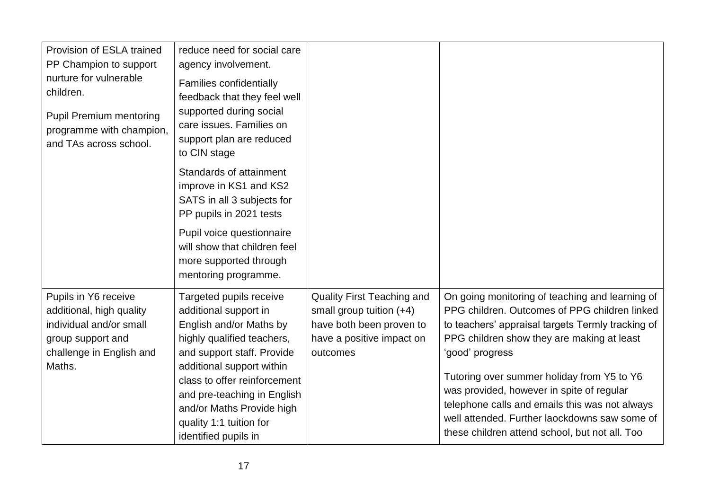| Provision of ESLA trained<br>PP Champion to support<br>nurture for vulnerable<br>children.<br><b>Pupil Premium mentoring</b><br>programme with champion,<br>and TAs across school. | reduce need for social care<br>agency involvement.<br><b>Families confidentially</b><br>feedback that they feel well<br>supported during social<br>care issues. Families on<br>support plan are reduced<br>to CIN stage                                                                                             |                                                                                                                                    |                                                                                                                                                                                                                                                                                                                                                                                                                                                                        |
|------------------------------------------------------------------------------------------------------------------------------------------------------------------------------------|---------------------------------------------------------------------------------------------------------------------------------------------------------------------------------------------------------------------------------------------------------------------------------------------------------------------|------------------------------------------------------------------------------------------------------------------------------------|------------------------------------------------------------------------------------------------------------------------------------------------------------------------------------------------------------------------------------------------------------------------------------------------------------------------------------------------------------------------------------------------------------------------------------------------------------------------|
|                                                                                                                                                                                    | Standards of attainment<br>improve in KS1 and KS2<br>SATS in all 3 subjects for<br>PP pupils in 2021 tests                                                                                                                                                                                                          |                                                                                                                                    |                                                                                                                                                                                                                                                                                                                                                                                                                                                                        |
|                                                                                                                                                                                    | Pupil voice questionnaire<br>will show that children feel<br>more supported through<br>mentoring programme.                                                                                                                                                                                                         |                                                                                                                                    |                                                                                                                                                                                                                                                                                                                                                                                                                                                                        |
| Pupils in Y6 receive<br>additional, high quality<br>individual and/or small<br>group support and<br>challenge in English and<br>Maths.                                             | Targeted pupils receive<br>additional support in<br>English and/or Maths by<br>highly qualified teachers,<br>and support staff. Provide<br>additional support within<br>class to offer reinforcement<br>and pre-teaching in English<br>and/or Maths Provide high<br>quality 1:1 tuition for<br>identified pupils in | <b>Quality First Teaching and</b><br>small group tuition (+4)<br>have both been proven to<br>have a positive impact on<br>outcomes | On going monitoring of teaching and learning of<br>PPG children. Outcomes of PPG children linked<br>to teachers' appraisal targets Termly tracking of<br>PPG children show they are making at least<br>'good' progress<br>Tutoring over summer holiday from Y5 to Y6<br>was provided, however in spite of regular<br>telephone calls and emails this was not always<br>well attended. Further laockdowns saw some of<br>these children attend school, but not all. Too |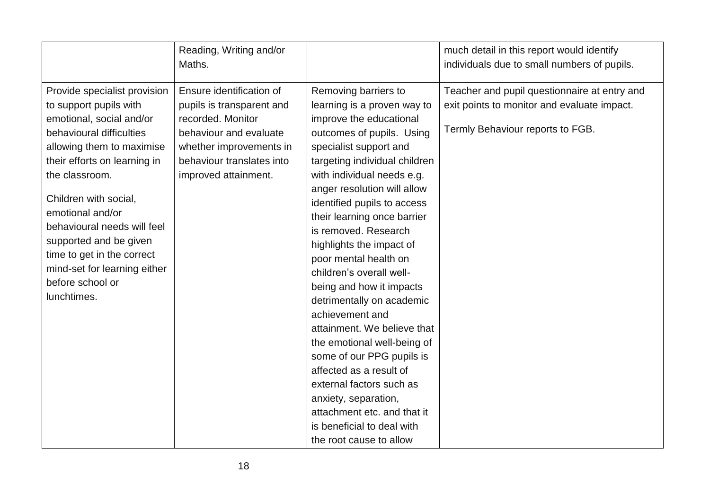|                                                                                                                                                                                                                                                                                                                                                                                                      | Reading, Writing and/or<br>Maths.                                                                                                                                                    |                                                                                                                                                                                                                                                                                                                                                                                                                                                                                                                                                                                                                                                                                                                                                          | much detail in this report would identify<br>individuals due to small numbers of pupils.                                        |
|------------------------------------------------------------------------------------------------------------------------------------------------------------------------------------------------------------------------------------------------------------------------------------------------------------------------------------------------------------------------------------------------------|--------------------------------------------------------------------------------------------------------------------------------------------------------------------------------------|----------------------------------------------------------------------------------------------------------------------------------------------------------------------------------------------------------------------------------------------------------------------------------------------------------------------------------------------------------------------------------------------------------------------------------------------------------------------------------------------------------------------------------------------------------------------------------------------------------------------------------------------------------------------------------------------------------------------------------------------------------|---------------------------------------------------------------------------------------------------------------------------------|
| Provide specialist provision<br>to support pupils with<br>emotional, social and/or<br>behavioural difficulties<br>allowing them to maximise<br>their efforts on learning in<br>the classroom.<br>Children with social,<br>emotional and/or<br>behavioural needs will feel<br>supported and be given<br>time to get in the correct<br>mind-set for learning either<br>before school or<br>lunchtimes. | Ensure identification of<br>pupils is transparent and<br>recorded. Monitor<br>behaviour and evaluate<br>whether improvements in<br>behaviour translates into<br>improved attainment. | Removing barriers to<br>learning is a proven way to<br>improve the educational<br>outcomes of pupils. Using<br>specialist support and<br>targeting individual children<br>with individual needs e.g.<br>anger resolution will allow<br>identified pupils to access<br>their learning once barrier<br>is removed. Research<br>highlights the impact of<br>poor mental health on<br>children's overall well-<br>being and how it impacts<br>detrimentally on academic<br>achievement and<br>attainment. We believe that<br>the emotional well-being of<br>some of our PPG pupils is<br>affected as a result of<br>external factors such as<br>anxiety, separation,<br>attachment etc. and that it<br>is beneficial to deal with<br>the root cause to allow | Teacher and pupil questionnaire at entry and<br>exit points to monitor and evaluate impact.<br>Termly Behaviour reports to FGB. |